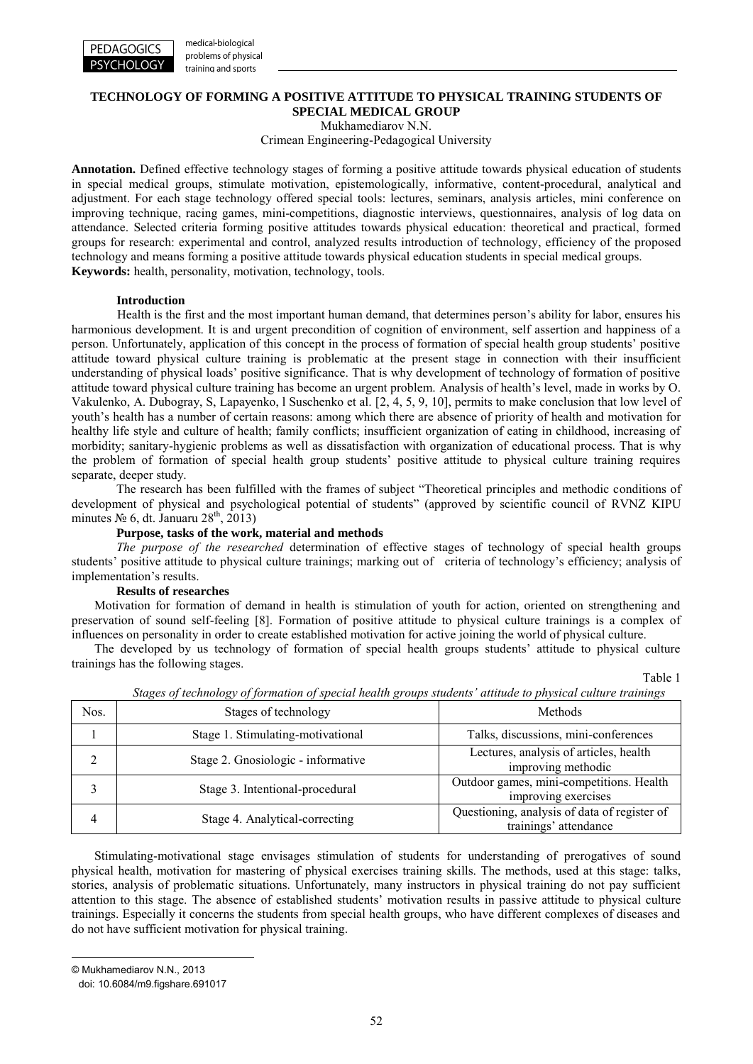

medical-biological problems of physical training and sports

# **TECHNOLOGY OF FORMING A POSITIVE ATTITUDE TO PHYSICAL TRAINING STUDENTS OF SPECIAL MEDICAL GROUP**

Mukhamediarov N.N.

Crimean Engineering-Pedagogical University

**Annotation.** Defined effective technology stages of forming a positive attitude towards physical education of students in special medical groups, stimulate motivation, epistemologically, informative, content-procedural, analytical and adjustment. For each stage technology offered special tools: lectures, seminars, analysis articles, mini conference on improving technique, racing games, mini-competitions, diagnostic interviews, questionnaires, analysis of log data on attendance. Selected criteria forming positive attitudes towards physical education: theoretical and practical, formed groups for research: experimental and control, analyzed results introduction of technology, efficiency of the proposed technology and means forming a positive attitude towards physical education students in special medical groups. **Keywords:** health, personality, motivation, technology, tools.

### **Introduction**

Health is the first and the most important human demand, that determines person's ability for labor, ensures his harmonious development. It is and urgent precondition of cognition of environment, self assertion and happiness of a person. Unfortunately, application of this concept in the process of formation of special health group students' positive attitude toward physical culture training is problematic at the present stage in connection with their insufficient understanding of physical loads' positive significance. That is why development of technology of formation of positive attitude toward physical culture training has become an urgent problem. Analysis of health's level, made in works by O. Vakulenko, A. Dubogray, S, Lapayenko, l Suschenko et al. [2, 4, 5, 9, 10], permits to make conclusion that low level of youth's health has a number of certain reasons: among which there are absence of priority of health and motivation for healthy life style and culture of health; family conflicts; insufficient organization of eating in childhood, increasing of morbidity; sanitary-hygienic problems as well as dissatisfaction with organization of educational process. That is why the problem of formation of special health group students' positive attitude to physical culture training requires separate, deeper study.

The research has been fulfilled with the frames of subject "Theoretical principles and methodic conditions of development of physical and psychological potential of students" (approved by scientific council of RVNZ KІPU minutes  $\mathcal{N}_2$  6, dt. Januaru 28<sup>th</sup>, 2013)

## **Purpose, tasks of the work, material and methods**

*The purpose of the researched* determination of effective stages of technology of special health groups students' positive attitude to physical culture trainings; marking out of criteria of technology's efficiency; analysis of implementation's results.

#### **Results of researches**

Motivation for formation of demand in health is stimulation of youth for action, oriented on strengthening and preservation of sound self-feeling [8]. Formation of positive attitude to physical culture trainings is a complex of influences on personality in order to create established motivation for active joining the world of physical culture.

The developed by us technology of formation of special health groups students' attitude to physical culture trainings has the following stages.

Table 1

| Nos. | Stages of technology               | <b>Methods</b>                                                        |  |  |
|------|------------------------------------|-----------------------------------------------------------------------|--|--|
|      | Stage 1. Stimulating-motivational  | Talks, discussions, mini-conferences                                  |  |  |
|      | Stage 2. Gnosiologic - informative | Lectures, analysis of articles, health<br>improving methodic          |  |  |
|      | Stage 3. Intentional-procedural    | Outdoor games, mini-competitions. Health<br>improving exercises       |  |  |
|      | Stage 4. Analytical-correcting     | Questioning, analysis of data of register of<br>trainings' attendance |  |  |

*Stages of technology of formation of special health groups students' attitude to physical culture trainings*

Stimulating-motivational stage envisages stimulation of students for understanding of prerogatives of sound physical health, motivation for mastering of physical exercises training skills. The methods, used at this stage: talks, stories, analysis of problematic situations. Unfortunately, many instructors in physical training do not pay sufficient attention to this stage. The absence of established students' motivation results in passive attitude to physical culture trainings. Especially it concerns the students from special health groups, who have different complexes of diseases and do not have sufficient motivation for physical training.

-

<sup>©</sup> Mukhamediarov N.N., 2013

doi: 10.6084/m9.figshare.691017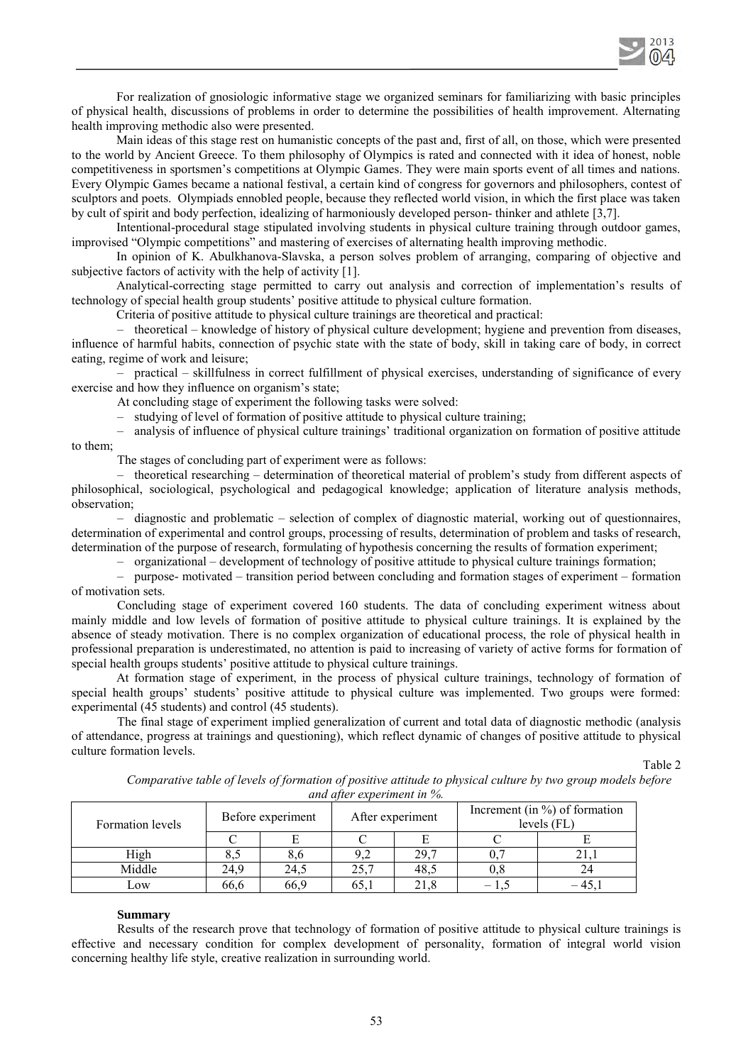

For realization of gnosiologic informative stage we organized seminars for familiarizing with basic principles of physical health, discussions of problems in order to determine the possibilities of health improvement. Alternating health improving methodic also were presented.

Main ideas of this stage rest on humanistic concepts of the past and, first of all, on those, which were presented to the world by Ancient Greece. To them philosophy of Olympics is rated and connected with it idea of honest, noble competitiveness in sportsmen's competitions at Olympic Games. They were main sports event of all times and nations. Every Olympic Games became a national festival, a certain kind of congress for governors and philosophers, contest of sculptors and poets. Olympiads ennobled people, because they reflected world vision, in which the first place was taken by cult of spirit and body perfection, idealizing of harmoniously developed person- thinker and athlete [3,7].

Intentional-procedural stage stipulated involving students in physical culture training through outdoor games, improvised "Olympic competitions" and mastering of exercises of alternating health improving methodic.

In opinion of K. Abulkhanova-Slavska, a person solves problem of arranging, comparing of objective and subjective factors of activity with the help of activity [1].

Analytical-correcting stage permitted to carry out analysis and correction of implementation's results of technology of special health group students' positive attitude to physical culture formation.

Criteria of positive attitude to physical culture trainings are theoretical and practical:

– theoretical – knowledge of history of physical culture development; hygiene and prevention from diseases, influence of harmful habits, connection of psychic state with the state of body, skill in taking care of body, in correct eating, regime of work and leisure;

– practical – skillfulness in correct fulfillment of physical exercises, understanding of significance of every exercise and how they influence on organism's state;

At concluding stage of experiment the following tasks were solved:

– studying of level of formation of positive attitude to physical culture training;

– analysis of influence of physical culture trainings' traditional organization on formation of positive attitude to them;

The stages of concluding part of experiment were as follows:

– theoretical researching – determination of theoretical material of problem's study from different aspects of philosophical, sociological, psychological and pedagogical knowledge; application of literature analysis methods, observation;

– diagnostic and problematic – selection of complex of diagnostic material, working out of questionnaires, determination of experimental and control groups, processing of results, determination of problem and tasks of research, determination of the purpose of research, formulating of hypothesis concerning the results of formation experiment;

– organizational – development of technology of positive attitude to physical culture trainings formation;

– purpose- motivated – transition period between concluding and formation stages of experiment – formation of motivation sets.

Concluding stage of experiment covered 160 students. The data of concluding experiment witness about mainly middle and low levels of formation of positive attitude to physical culture trainings. It is explained by the absence of steady motivation. There is no complex organization of educational process, the role of physical health in professional preparation is underestimated, no attention is paid to increasing of variety of active forms for formation of special health groups students' positive attitude to physical culture trainings.

At formation stage of experiment, in the process of physical culture trainings, technology of formation of special health groups' students' positive attitude to physical culture was implemented. Two groups were formed: experimental (45 students) and control (45 students).

The final stage of experiment implied generalization of current and total data of diagnostic methodic (analysis of attendance, progress at trainings and questioning), which reflect dynamic of changes of positive attitude to physical culture formation levels.

Table 2

Comparative table of levels of formation of positive attitude to physical culture by two group models before *and after experiment in %.*

| Formation levels | Before experiment |      | After experiment |      | Increment (in $\%$ ) of formation<br>levels $(FL)$ |  |
|------------------|-------------------|------|------------------|------|----------------------------------------------------|--|
|                  |                   |      |                  |      |                                                    |  |
| High             |                   |      |                  | 29,7 |                                                    |  |
| Middle           | 24.9              | 24.5 | 25.7             | 48.5 | 0.8                                                |  |
| Low              | 66,6              | 66.9 | 65.1             |      |                                                    |  |

#### **Summary**

Results of the research prove that technology of formation of positive attitude to physical culture trainings is effective and necessary condition for complex development of personality, formation of integral world vision concerning healthy life style, creative realization in surrounding world.